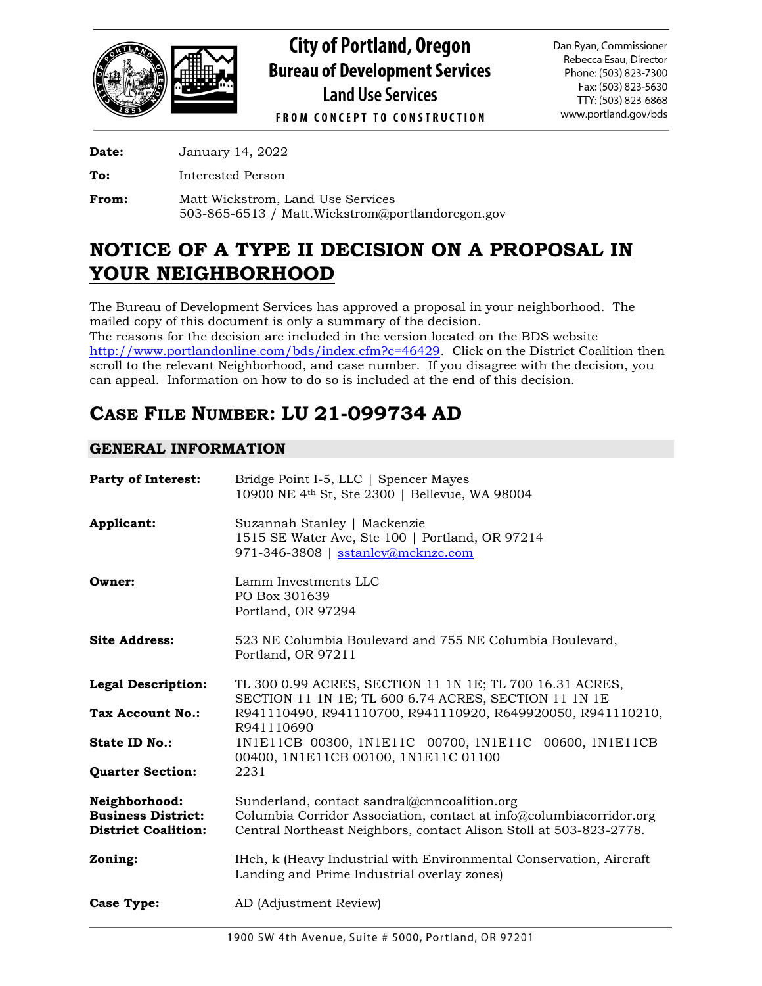

**City of Portland, Oregon Bureau of Development Services Land Use Services** 

Dan Ryan, Commissioner Rebecca Esau, Director Phone: (503) 823-7300 Fax: (503) 823-5630 TTY: (503) 823-6868 www.portland.gov/bds

**FROM CONCEPT TO CONSTRUCTION** 

**Date:** January 14, 2022

**To:** Interested Person

**From:** Matt Wickstrom, Land Use Services 503-865-6513 / Matt.Wickstrom@portlandoregon.gov

# **NOTICE OF A TYPE II DECISION ON A PROPOSAL IN YOUR NEIGHBORHOOD**

The Bureau of Development Services has approved a proposal in your neighborhood. The mailed copy of this document is only a summary of the decision. The reasons for the decision are included in the version located on the BDS website [http://www.portlandonline.com/bds/index.cfm?c=46429.](http://www.portlandonline.com/bds/index.cfm?c=46429) Click on the District Coalition then scroll to the relevant Neighborhood, and case number. If you disagree with the decision, you can appeal. Information on how to do so is included at the end of this decision.

# **CASE FILE NUMBER: LU 21-099734 AD**

# **GENERAL INFORMATION**

| <b>Party of Interest:</b>                                                | Bridge Point I-5, LLC   Spencer Mayes<br>10900 NE 4th St, Ste 2300   Bellevue, WA 98004                                                                                                   |
|--------------------------------------------------------------------------|-------------------------------------------------------------------------------------------------------------------------------------------------------------------------------------------|
| Applicant:                                                               | Suzannah Stanley   Mackenzie<br>1515 SE Water Ave, Ste 100   Portland, OR 97214<br>971-346-3808   sstanley@mcknze.com                                                                     |
| Owner:                                                                   | Lamm Investments LLC<br>PO Box 301639<br>Portland, OR 97294                                                                                                                               |
| <b>Site Address:</b>                                                     | 523 NE Columbia Boulevard and 755 NE Columbia Boulevard,<br>Portland, OR 97211                                                                                                            |
| <b>Legal Description:</b>                                                | TL 300 0.99 ACRES, SECTION 11 1N 1E; TL 700 16.31 ACRES,<br>SECTION 11 1N 1E; TL 600 6.74 ACRES, SECTION 11 1N 1E                                                                         |
| Tax Account No.:                                                         | R941110490, R941110700, R941110920, R649920050, R941110210,<br>R941110690                                                                                                                 |
| <b>State ID No.:</b>                                                     | 1N1E11CB 00300, 1N1E11C 00700, 1N1E11C 00600, 1N1E11CB<br>00400, 1N1E11CB 00100, 1N1E11C 01100                                                                                            |
| <b>Quarter Section:</b>                                                  | 2231                                                                                                                                                                                      |
| Neighborhood:<br><b>Business District:</b><br><b>District Coalition:</b> | Sunderland, contact sandral@cnncoalition.org<br>Columbia Corridor Association, contact at info@columbiacorridor.org<br>Central Northeast Neighbors, contact Alison Stoll at 503-823-2778. |
| Zoning:                                                                  | IHch, k (Heavy Industrial with Environmental Conservation, Aircraft<br>Landing and Prime Industrial overlay zones)                                                                        |
| Case Type:                                                               | AD (Adjustment Review)                                                                                                                                                                    |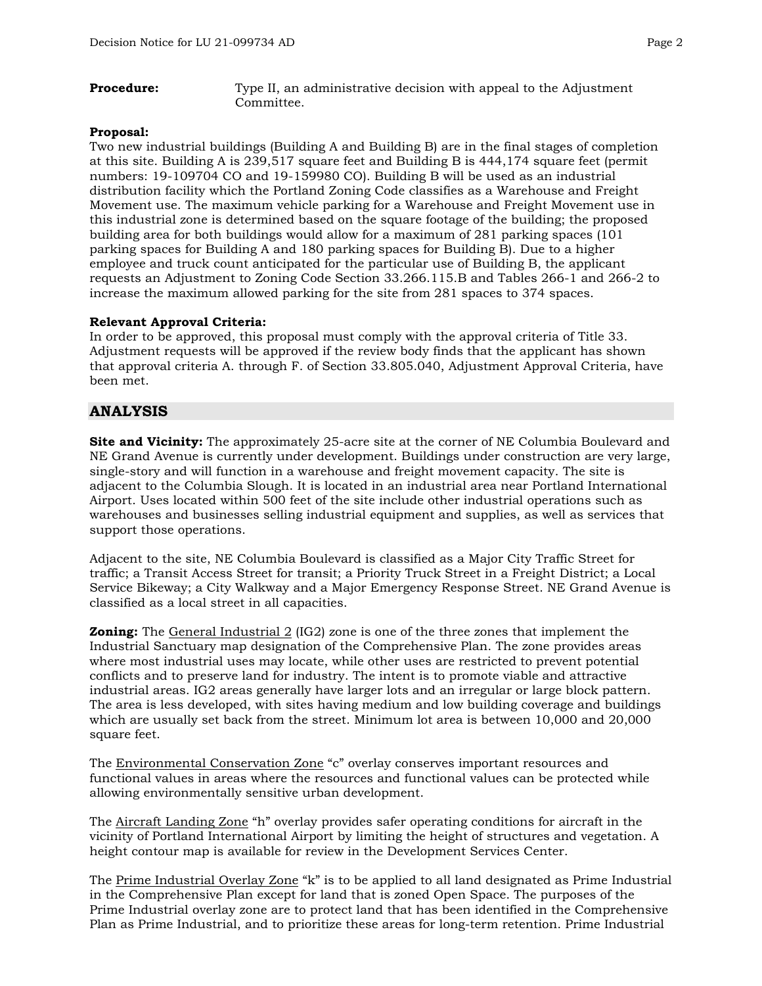**Procedure:** Type II, an administrative decision with appeal to the Adjustment Committee.

#### **Proposal:**

Two new industrial buildings (Building A and Building B) are in the final stages of completion at this site. Building A is 239,517 square feet and Building B is 444,174 square feet (permit numbers: 19-109704 CO and 19-159980 CO). Building B will be used as an industrial distribution facility which the Portland Zoning Code classifies as a Warehouse and Freight Movement use. The maximum vehicle parking for a Warehouse and Freight Movement use in this industrial zone is determined based on the square footage of the building; the proposed building area for both buildings would allow for a maximum of 281 parking spaces (101 parking spaces for Building A and 180 parking spaces for Building B). Due to a higher employee and truck count anticipated for the particular use of Building B, the applicant requests an Adjustment to Zoning Code Section 33.266.115.B and Tables 266-1 and 266-2 to increase the maximum allowed parking for the site from 281 spaces to 374 spaces.

#### **Relevant Approval Criteria:**

In order to be approved, this proposal must comply with the approval criteria of Title 33. Adjustment requests will be approved if the review body finds that the applicant has shown that approval criteria A. through F. of Section 33.805.040, Adjustment Approval Criteria, have been met.

## **ANALYSIS**

**Site and Vicinity:** The approximately 25-acre site at the corner of NE Columbia Boulevard and NE Grand Avenue is currently under development. Buildings under construction are very large, single-story and will function in a warehouse and freight movement capacity. The site is adjacent to the Columbia Slough. It is located in an industrial area near Portland International Airport. Uses located within 500 feet of the site include other industrial operations such as warehouses and businesses selling industrial equipment and supplies, as well as services that support those operations.

Adjacent to the site, NE Columbia Boulevard is classified as a Major City Traffic Street for traffic; a Transit Access Street for transit; a Priority Truck Street in a Freight District; a Local Service Bikeway; a City Walkway and a Major Emergency Response Street. NE Grand Avenue is classified as a local street in all capacities.

**Zoning:** The General Industrial 2 (IG2) zone is one of the three zones that implement the Industrial Sanctuary map designation of the Comprehensive Plan. The zone provides areas where most industrial uses may locate, while other uses are restricted to prevent potential conflicts and to preserve land for industry. The intent is to promote viable and attractive industrial areas. IG2 areas generally have larger lots and an irregular or large block pattern. The area is less developed, with sites having medium and low building coverage and buildings which are usually set back from the street. Minimum lot area is between 10,000 and 20,000 square feet.

The Environmental Conservation Zone "c" overlay conserves important resources and functional values in areas where the resources and functional values can be protected while allowing environmentally sensitive urban development.

The Aircraft Landing Zone "h" overlay provides safer operating conditions for aircraft in the vicinity of Portland International Airport by limiting the height of structures and vegetation. A height contour map is available for review in the Development Services Center.

The Prime Industrial Overlay Zone "k" is to be applied to all land designated as Prime Industrial in the Comprehensive Plan except for land that is zoned Open Space. The purposes of the Prime Industrial overlay zone are to protect land that has been identified in the Comprehensive Plan as Prime Industrial, and to prioritize these areas for long-term retention. Prime Industrial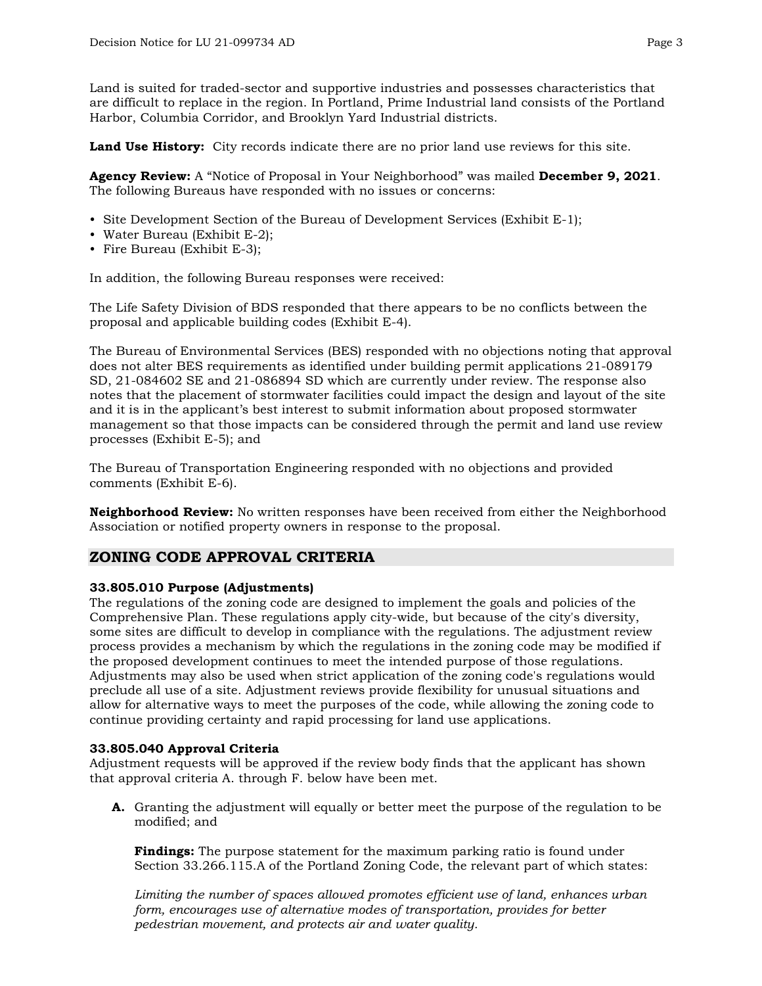Land is suited for traded-sector and supportive industries and possesses characteristics that are difficult to replace in the region. In Portland, Prime Industrial land consists of the Portland Harbor, Columbia Corridor, and Brooklyn Yard Industrial districts.

**Land Use History:** City records indicate there are no prior land use reviews for this site.

**Agency Review:** A "Notice of Proposal in Your Neighborhood" was mailed **December 9, 2021**. The following Bureaus have responded with no issues or concerns:

- Site Development Section of the Bureau of Development Services (Exhibit E-1);
- Water Bureau (Exhibit E-2);
- Fire Bureau (Exhibit E-3);

In addition, the following Bureau responses were received:

The Life Safety Division of BDS responded that there appears to be no conflicts between the proposal and applicable building codes (Exhibit E-4).

The Bureau of Environmental Services (BES) responded with no objections noting that approval does not alter BES requirements as identified under building permit applications 21-089179 SD, 21-084602 SE and 21-086894 SD which are currently under review. The response also notes that the placement of stormwater facilities could impact the design and layout of the site and it is in the applicant's best interest to submit information about proposed stormwater management so that those impacts can be considered through the permit and land use review processes (Exhibit E-5); and

The Bureau of Transportation Engineering responded with no objections and provided comments (Exhibit E-6).

**Neighborhood Review:** No written responses have been received from either the Neighborhood Association or notified property owners in response to the proposal.

## **ZONING CODE APPROVAL CRITERIA**

#### **33.805.010 Purpose (Adjustments)**

The regulations of the zoning code are designed to implement the goals and policies of the Comprehensive Plan. These regulations apply city-wide, but because of the city's diversity, some sites are difficult to develop in compliance with the regulations. The adjustment review process provides a mechanism by which the regulations in the zoning code may be modified if the proposed development continues to meet the intended purpose of those regulations. Adjustments may also be used when strict application of the zoning code's regulations would preclude all use of a site. Adjustment reviews provide flexibility for unusual situations and allow for alternative ways to meet the purposes of the code, while allowing the zoning code to continue providing certainty and rapid processing for land use applications.

#### **33.805.040 Approval Criteria**

Adjustment requests will be approved if the review body finds that the applicant has shown that approval criteria A. through F. below have been met.

**A.** Granting the adjustment will equally or better meet the purpose of the regulation to be modified; and

**Findings:** The purpose statement for the maximum parking ratio is found under Section 33.266.115.A of the Portland Zoning Code, the relevant part of which states:

*Limiting the number of spaces allowed promotes efficient use of land, enhances urban form, encourages use of alternative modes of transportation, provides for better pedestrian movement, and protects air and water quality.*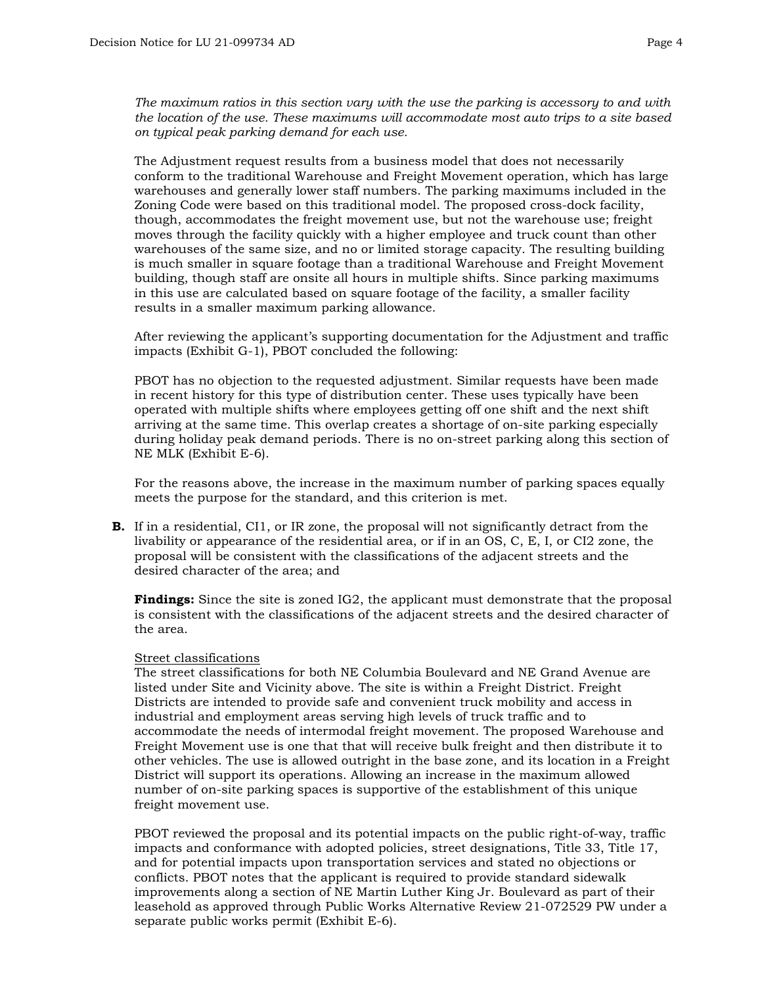*The maximum ratios in this section vary with the use the parking is accessory to and with the location of the use. These maximums will accommodate most auto trips to a site based on typical peak parking demand for each use.*

The Adjustment request results from a business model that does not necessarily conform to the traditional Warehouse and Freight Movement operation, which has large warehouses and generally lower staff numbers. The parking maximums included in the Zoning Code were based on this traditional model. The proposed cross-dock facility, though, accommodates the freight movement use, but not the warehouse use; freight moves through the facility quickly with a higher employee and truck count than other warehouses of the same size, and no or limited storage capacity. The resulting building is much smaller in square footage than a traditional Warehouse and Freight Movement building, though staff are onsite all hours in multiple shifts. Since parking maximums in this use are calculated based on square footage of the facility, a smaller facility results in a smaller maximum parking allowance.

After reviewing the applicant's supporting documentation for the Adjustment and traffic impacts (Exhibit G-1), PBOT concluded the following:

PBOT has no objection to the requested adjustment. Similar requests have been made in recent history for this type of distribution center. These uses typically have been operated with multiple shifts where employees getting off one shift and the next shift arriving at the same time. This overlap creates a shortage of on-site parking especially during holiday peak demand periods. There is no on-street parking along this section of NE MLK (Exhibit E-6).

For the reasons above, the increase in the maximum number of parking spaces equally meets the purpose for the standard, and this criterion is met.

**B.** If in a residential, CI1, or IR zone, the proposal will not significantly detract from the livability or appearance of the residential area, or if in an OS, C, E, I, or CI2 zone, the proposal will be consistent with the classifications of the adjacent streets and the desired character of the area; and

**Findings:** Since the site is zoned IG2, the applicant must demonstrate that the proposal is consistent with the classifications of the adjacent streets and the desired character of the area.

#### Street classifications

The street classifications for both NE Columbia Boulevard and NE Grand Avenue are listed under Site and Vicinity above. The site is within a Freight District. Freight Districts are intended to provide safe and convenient truck mobility and access in industrial and employment areas serving high levels of truck traffic and to accommodate the needs of intermodal freight movement. The proposed Warehouse and Freight Movement use is one that that will receive bulk freight and then distribute it to other vehicles. The use is allowed outright in the base zone, and its location in a Freight District will support its operations. Allowing an increase in the maximum allowed number of on-site parking spaces is supportive of the establishment of this unique freight movement use.

PBOT reviewed the proposal and its potential impacts on the public right-of-way, traffic impacts and conformance with adopted policies, street designations, Title 33, Title 17, and for potential impacts upon transportation services and stated no objections or conflicts. PBOT notes that the applicant is required to provide standard sidewalk improvements along a section of NE Martin Luther King Jr. Boulevard as part of their leasehold as approved through Public Works Alternative Review 21-072529 PW under a separate public works permit (Exhibit E-6).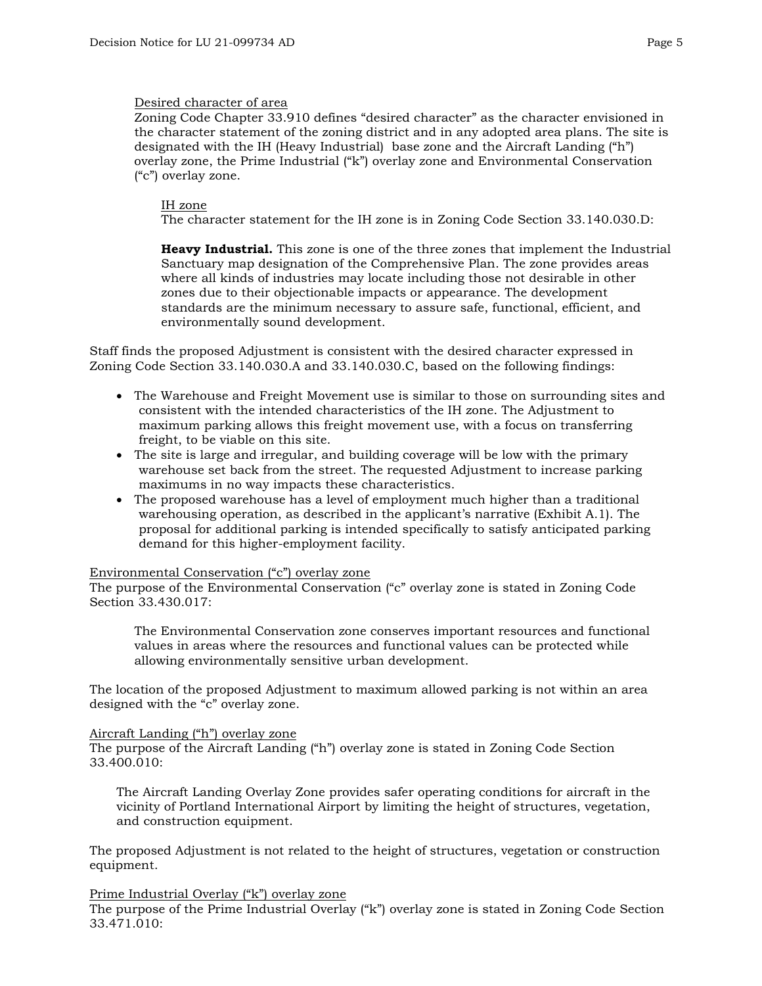#### Desired character of area

Zoning Code Chapter 33.910 defines "desired character" as the character envisioned in the character statement of the zoning district and in any adopted area plans. The site is designated with the IH (Heavy Industrial) base zone and the Aircraft Landing ("h") overlay zone, the Prime Industrial ("k") overlay zone and Environmental Conservation ("c") overlay zone.

#### IH zone

The character statement for the IH zone is in Zoning Code Section 33.140.030.D:

**Heavy Industrial.** This zone is one of the three zones that implement the Industrial Sanctuary map designation of the Comprehensive Plan. The zone provides areas where all kinds of industries may locate including those not desirable in other zones due to their objectionable impacts or appearance. The development standards are the minimum necessary to assure safe, functional, efficient, and environmentally sound development.

Staff finds the proposed Adjustment is consistent with the desired character expressed in Zoning Code Section 33.140.030.A and 33.140.030.C, based on the following findings:

- The Warehouse and Freight Movement use is similar to those on surrounding sites and consistent with the intended characteristics of the IH zone. The Adjustment to maximum parking allows this freight movement use, with a focus on transferring freight, to be viable on this site.
- The site is large and irregular, and building coverage will be low with the primary warehouse set back from the street. The requested Adjustment to increase parking maximums in no way impacts these characteristics.
- The proposed warehouse has a level of employment much higher than a traditional warehousing operation, as described in the applicant's narrative (Exhibit A.1). The proposal for additional parking is intended specifically to satisfy anticipated parking demand for this higher-employment facility.

#### Environmental Conservation ("c") overlay zone

The purpose of the Environmental Conservation ("c" overlay zone is stated in Zoning Code Section 33.430.017:

The Environmental Conservation zone conserves important resources and functional values in areas where the resources and functional values can be protected while allowing environmentally sensitive urban development.

The location of the proposed Adjustment to maximum allowed parking is not within an area designed with the "c" overlay zone.

#### Aircraft Landing ("h") overlay zone

The purpose of the Aircraft Landing ("h") overlay zone is stated in Zoning Code Section 33.400.010:

The Aircraft Landing Overlay Zone provides safer operating conditions for aircraft in the vicinity of Portland International Airport by limiting the height of structures, vegetation, and construction equipment.

The proposed Adjustment is not related to the height of structures, vegetation or construction equipment.

#### Prime Industrial Overlay ("k") overlay zone

The purpose of the Prime Industrial Overlay ("k") overlay zone is stated in Zoning Code Section 33.471.010: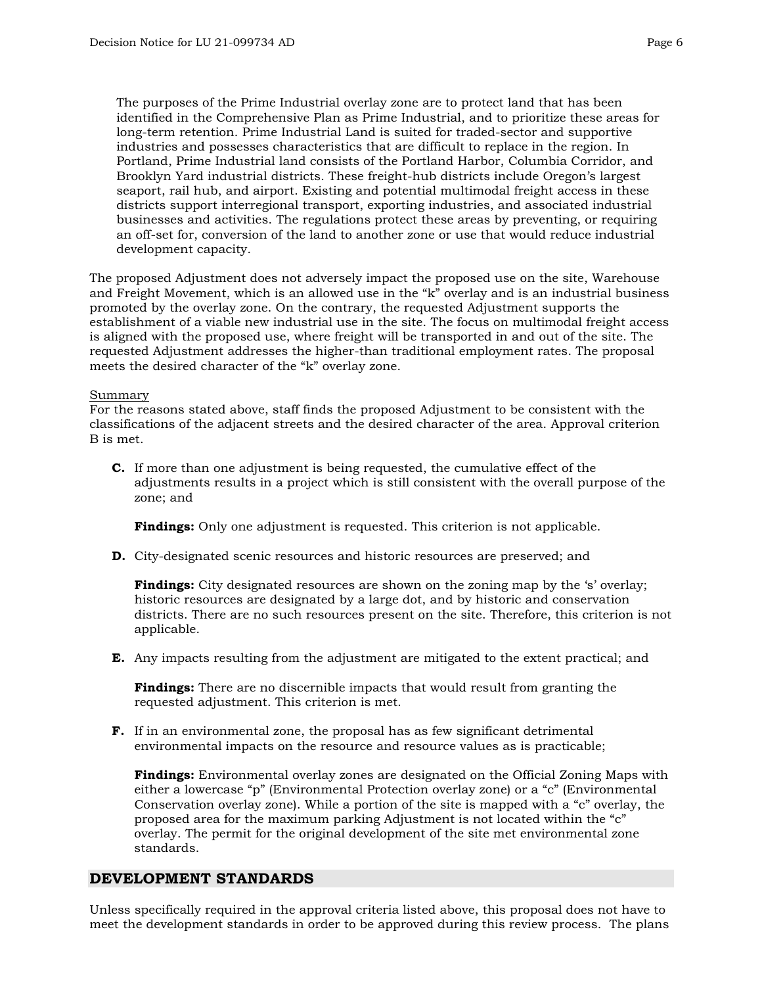The purposes of the Prime Industrial overlay zone are to protect land that has been identified in the Comprehensive Plan as Prime Industrial, and to prioritize these areas for long-term retention. Prime Industrial Land is suited for traded-sector and supportive industries and possesses characteristics that are difficult to replace in the region. In Portland, Prime Industrial land consists of the Portland Harbor, Columbia Corridor, and Brooklyn Yard industrial districts. These freight-hub districts include Oregon's largest seaport, rail hub, and airport. Existing and potential multimodal freight access in these districts support interregional transport, exporting industries, and associated industrial businesses and activities. The regulations protect these areas by preventing, or requiring an off-set for, conversion of the land to another zone or use that would reduce industrial development capacity.

The proposed Adjustment does not adversely impact the proposed use on the site, Warehouse and Freight Movement, which is an allowed use in the "k" overlay and is an industrial business promoted by the overlay zone. On the contrary, the requested Adjustment supports the establishment of a viable new industrial use in the site. The focus on multimodal freight access is aligned with the proposed use, where freight will be transported in and out of the site. The requested Adjustment addresses the higher-than traditional employment rates. The proposal meets the desired character of the "k" overlay zone.

#### Summary

For the reasons stated above, staff finds the proposed Adjustment to be consistent with the classifications of the adjacent streets and the desired character of the area. Approval criterion B is met.

**C.** If more than one adjustment is being requested, the cumulative effect of the adjustments results in a project which is still consistent with the overall purpose of the zone; and

**Findings:** Only one adjustment is requested. This criterion is not applicable.

**D.** City-designated scenic resources and historic resources are preserved; and

**Findings:** City designated resources are shown on the zoning map by the 's' overlay; historic resources are designated by a large dot, and by historic and conservation districts. There are no such resources present on the site. Therefore, this criterion is not applicable.

**E.** Any impacts resulting from the adjustment are mitigated to the extent practical; and

**Findings:** There are no discernible impacts that would result from granting the requested adjustment. This criterion is met.

**F.** If in an environmental zone, the proposal has as few significant detrimental environmental impacts on the resource and resource values as is practicable;

**Findings:** Environmental overlay zones are designated on the Official Zoning Maps with either a lowercase "p" (Environmental Protection overlay zone) or a "c" (Environmental Conservation overlay zone). While a portion of the site is mapped with a "c" overlay, the proposed area for the maximum parking Adjustment is not located within the "c" overlay. The permit for the original development of the site met environmental zone standards.

### **DEVELOPMENT STANDARDS**

Unless specifically required in the approval criteria listed above, this proposal does not have to meet the development standards in order to be approved during this review process. The plans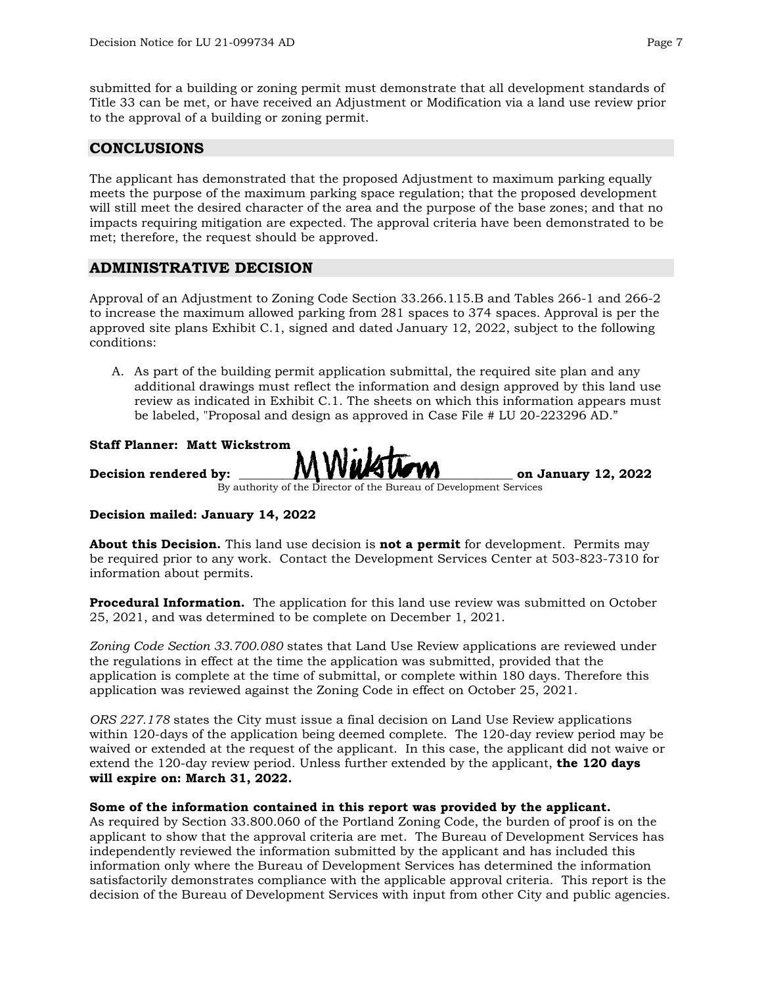submitted for a building or zoning permit must demonstrate that all development standards of Title 33 can be met, or have received an Adjustment or Modification via a land use review prior to the approval of a building or zoning permit.

# **CONCLUSIONS**

The applicant has demonstrated that the proposed Adjustment to maximum parking equally meets the purpose of the maximum parking space regulation; that the proposed development will still meet the desired character of the area and the purpose of the base zones; and that no impacts requiring mitigation are expected. The approval criteria have been demonstrated to be met; therefore, the request should be approved.

# **ADMINISTRATIVE DECISION**

Approval of an Adjustment to Zoning Code Section 33.266.115.B and Tables 266-1 and 266-2 to increase the maximum allowed parking from 281 spaces to 374 spaces. Approval is per the approved site plans Exhibit C.1, signed and dated January 12, 2022, subject to the following conditions:

A. As part of the building permit application submittal, the required site plan and any additional drawings must reflect the information and design approved by this land use review as indicated in Exhibit C.1. The sheets on which this information appears must be labeled, "Proposal and design as approved in Case File # LU 20-223296 AD."

**Staff Planner: Matt Wickstrom Decision rendered by: \_\_\_\_\_\_\_\_\_\_\_\_\_\_\_\_\_\_\_\_\_\_\_\_\_\_\_\_\_\_\_\_\_\_\_\_\_\_\_\_\_\_\_\_ on January 12, 2022**By authority of the Director of the Bureau of Development Services

#### **Decision mailed: January 14, 2022**

**About this Decision.** This land use decision is **not a permit** for development. Permits may be required prior to any work. Contact the Development Services Center at 503-823-7310 for information about permits.

**Procedural Information.** The application for this land use review was submitted on October 25, 2021, and was determined to be complete on December 1, 2021.

*Zoning Code Section 33.700.080* states that Land Use Review applications are reviewed under the regulations in effect at the time the application was submitted, provided that the application is complete at the time of submittal, or complete within 180 days. Therefore this application was reviewed against the Zoning Code in effect on October 25, 2021.

*ORS 227.178* states the City must issue a final decision on Land Use Review applications within 120-days of the application being deemed complete. The 120-day review period may be waived or extended at the request of the applicant. In this case, the applicant did not waive or extend the 120-day review period. Unless further extended by the applicant, **the 120 days will expire on: March 31, 2022.**

#### **Some of the information contained in this report was provided by the applicant.**

As required by Section 33.800.060 of the Portland Zoning Code, the burden of proof is on the applicant to show that the approval criteria are met. The Bureau of Development Services has independently reviewed the information submitted by the applicant and has included this information only where the Bureau of Development Services has determined the information satisfactorily demonstrates compliance with the applicable approval criteria. This report is the decision of the Bureau of Development Services with input from other City and public agencies.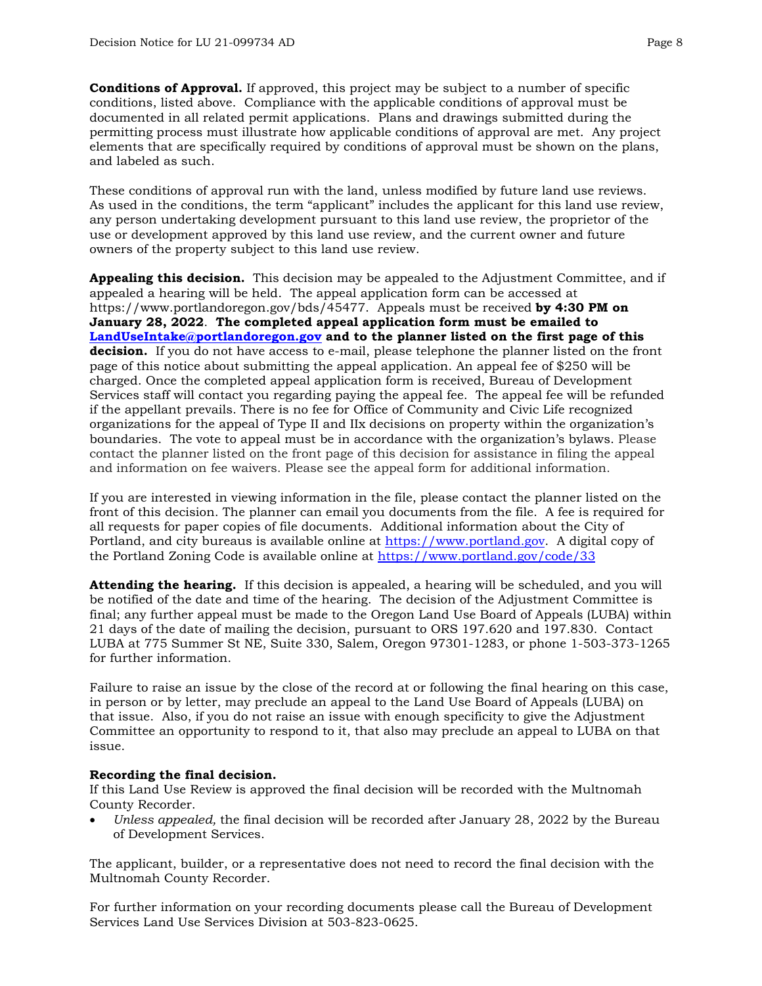**Conditions of Approval.** If approved, this project may be subject to a number of specific conditions, listed above. Compliance with the applicable conditions of approval must be documented in all related permit applications. Plans and drawings submitted during the permitting process must illustrate how applicable conditions of approval are met. Any project elements that are specifically required by conditions of approval must be shown on the plans, and labeled as such.

These conditions of approval run with the land, unless modified by future land use reviews. As used in the conditions, the term "applicant" includes the applicant for this land use review, any person undertaking development pursuant to this land use review, the proprietor of the use or development approved by this land use review, and the current owner and future owners of the property subject to this land use review.

**Appealing this decision.** This decision may be appealed to the Adjustment Committee, and if appealed a hearing will be held. The appeal application form can be accessed at https://www.portlandoregon.gov/bds/45477. Appeals must be received **by 4:30 PM on January 28, 2022**. **The completed appeal application form must be emailed to [LandUseIntake@portlandoregon.gov](mailto:LandUseIntake@portlandoregon.gov) and to the planner listed on the first page of this decision.** If you do not have access to e-mail, please telephone the planner listed on the front page of this notice about submitting the appeal application. An appeal fee of \$250 will be charged. Once the completed appeal application form is received, Bureau of Development Services staff will contact you regarding paying the appeal fee. The appeal fee will be refunded if the appellant prevails. There is no fee for Office of Community and Civic Life recognized organizations for the appeal of Type II and IIx decisions on property within the organization's boundaries. The vote to appeal must be in accordance with the organization's bylaws. Please contact the planner listed on the front page of this decision for assistance in filing the appeal and information on fee waivers. Please see the appeal form for additional information.

If you are interested in viewing information in the file, please contact the planner listed on the front of this decision. The planner can email you documents from the file. A fee is required for all requests for paper copies of file documents. Additional information about the City of Portland, and city bureaus is available online at [https://www.portland.gov.](https://www.portland.gov/) A digital copy of the Portland Zoning Code is available online at<https://www.portland.gov/code/33>

**Attending the hearing.** If this decision is appealed, a hearing will be scheduled, and you will be notified of the date and time of the hearing. The decision of the Adjustment Committee is final; any further appeal must be made to the Oregon Land Use Board of Appeals (LUBA) within 21 days of the date of mailing the decision, pursuant to ORS 197.620 and 197.830. Contact LUBA at 775 Summer St NE, Suite 330, Salem, Oregon 97301-1283, or phone 1-503-373-1265 for further information.

Failure to raise an issue by the close of the record at or following the final hearing on this case, in person or by letter, may preclude an appeal to the Land Use Board of Appeals (LUBA) on that issue. Also, if you do not raise an issue with enough specificity to give the Adjustment Committee an opportunity to respond to it, that also may preclude an appeal to LUBA on that issue.

### **Recording the final decision.**

If this Land Use Review is approved the final decision will be recorded with the Multnomah County Recorder.

• *Unless appealed,* the final decision will be recorded after January 28, 2022 by the Bureau of Development Services.

The applicant, builder, or a representative does not need to record the final decision with the Multnomah County Recorder.

For further information on your recording documents please call the Bureau of Development Services Land Use Services Division at 503-823-0625.